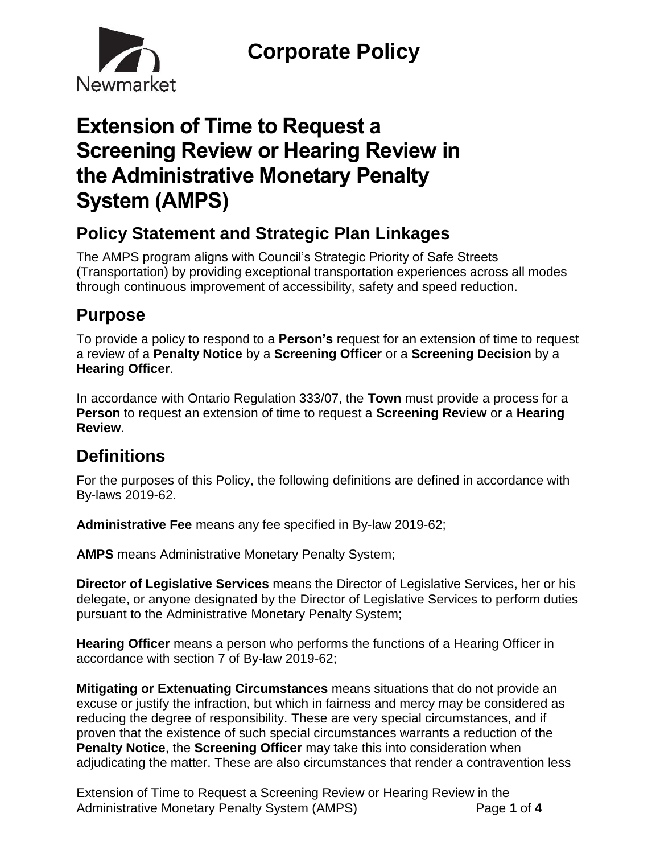

# **Extension of Time to Request a Screening Review or Hearing Review in the Administrative Monetary Penalty System (AMPS)**

### **Policy Statement and Strategic Plan Linkages**

The AMPS program aligns with Council's Strategic Priority of Safe Streets (Transportation) by providing exceptional transportation experiences across all modes through continuous improvement of accessibility, safety and speed reduction.

## **Purpose**

To provide a policy to respond to a **Person's** request for an extension of time to request a review of a **Penalty Notice** by a **Screening Officer** or a **Screening Decision** by a **Hearing Officer**.

In accordance with Ontario Regulation 333/07, the **Town** must provide a process for a **Person** to request an extension of time to request a **Screening Review** or a **Hearing Review**.

## **Definitions**

For the purposes of this Policy, the following definitions are defined in accordance with By-laws 2019-62.

**Administrative Fee** means any fee specified in By-law 2019-62;

**AMPS** means Administrative Monetary Penalty System;

**Director of Legislative Services** means the Director of Legislative Services, her or his delegate, or anyone designated by the Director of Legislative Services to perform duties pursuant to the Administrative Monetary Penalty System;

**Hearing Officer** means a person who performs the functions of a Hearing Officer in accordance with section 7 of By-law 2019-62;

**Mitigating or Extenuating Circumstances** means situations that do not provide an excuse or justify the infraction, but which in fairness and mercy may be considered as reducing the degree of responsibility. These are very special circumstances, and if proven that the existence of such special circumstances warrants a reduction of the **Penalty Notice**, the **Screening Officer** may take this into consideration when adjudicating the matter. These are also circumstances that render a contravention less

Extension of Time to Request a Screening Review or Hearing Review in the Administrative Monetary Penalty System (AMPS) Page **1** of **4**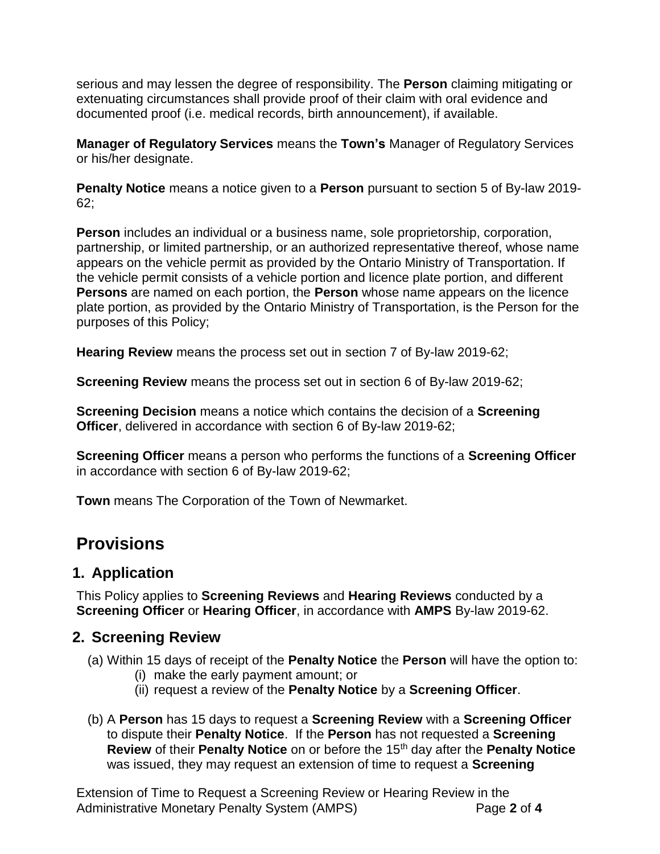serious and may lessen the degree of responsibility. The **Person** claiming mitigating or extenuating circumstances shall provide proof of their claim with oral evidence and documented proof (i.e. medical records, birth announcement), if available.

**Manager of Regulatory Services** means the **Town's** Manager of Regulatory Services or his/her designate.

**Penalty Notice** means a notice given to a **Person** pursuant to section 5 of By-law 2019- 62;

**Person** includes an individual or a business name, sole proprietorship, corporation, partnership, or limited partnership, or an authorized representative thereof, whose name appears on the vehicle permit as provided by the Ontario Ministry of Transportation. If the vehicle permit consists of a vehicle portion and licence plate portion, and different **Persons** are named on each portion, the **Person** whose name appears on the licence plate portion, as provided by the Ontario Ministry of Transportation, is the Person for the purposes of this Policy;

**Hearing Review** means the process set out in section 7 of By-law 2019-62;

**Screening Review** means the process set out in section 6 of By-law 2019-62;

**Screening Decision** means a notice which contains the decision of a **Screening Officer**, delivered in accordance with section 6 of By-law 2019-62;

**Screening Officer** means a person who performs the functions of a **Screening Officer**  in accordance with section 6 of By-law 2019-62;

**Town** means The Corporation of the Town of Newmarket.

### **Provisions**

#### **1. Application**

This Policy applies to **Screening Reviews** and **Hearing Reviews** conducted by a **Screening Officer** or **Hearing Officer**, in accordance with **AMPS** By-law 2019-62.

#### **2. Screening Review**

- (a) Within 15 days of receipt of the **Penalty Notice** the **Person** will have the option to:
	- (i) make the early payment amount; or
	- (ii) request a review of the **Penalty Notice** by a **Screening Officer**.
- (b) A **Person** has 15 days to request a **Screening Review** with a **Screening Officer** to dispute their **Penalty Notice**. If the **Person** has not requested a **Screening Review** of their **Penalty Notice** on or before the 15th day after the **Penalty Notice** was issued, they may request an extension of time to request a **Screening**

Extension of Time to Request a Screening Review or Hearing Review in the Administrative Monetary Penalty System (AMPS) Page **2** of **4**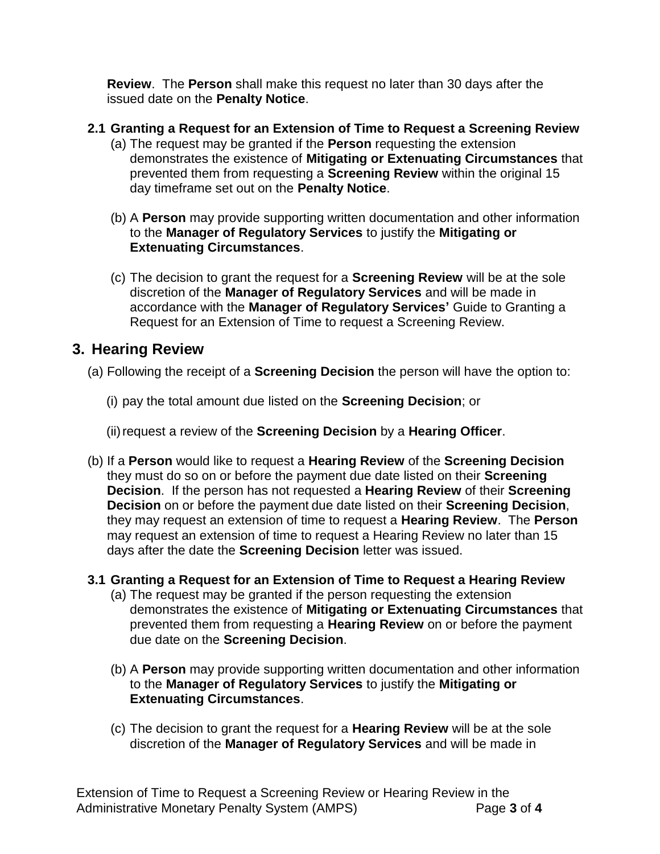**Review**. The **Person** shall make this request no later than 30 days after the issued date on the **Penalty Notice**.

- **2.1 Granting a Request for an Extension of Time to Request a Screening Review**
	- (a) The request may be granted if the **Person** requesting the extension demonstrates the existence of **Mitigating or Extenuating Circumstances** that prevented them from requesting a **Screening Review** within the original 15 day timeframe set out on the **Penalty Notice**.
	- (b) A **Person** may provide supporting written documentation and other information to the **Manager of Regulatory Services** to justify the **Mitigating or Extenuating Circumstances**.
	- (c) The decision to grant the request for a **Screening Review** will be at the sole discretion of the **Manager of Regulatory Services** and will be made in accordance with the **Manager of Regulatory Services'** Guide to Granting a Request for an Extension of Time to request a Screening Review.

#### **3. Hearing Review**

- (a) Following the receipt of a **Screening Decision** the person will have the option to:
	- (i) pay the total amount due listed on the **Screening Decision**; or
	- (ii)request a review of the **Screening Decision** by a **Hearing Officer**.
- (b) If a **Person** would like to request a **Hearing Review** of the **Screening Decision** they must do so on or before the payment due date listed on their **Screening Decision**. If the person has not requested a **Hearing Review** of their **Screening Decision** on or before the payment due date listed on their **Screening Decision**, they may request an extension of time to request a **Hearing Review**. The **Person** may request an extension of time to request a Hearing Review no later than 15 days after the date the **Screening Decision** letter was issued.
- **3.1 Granting a Request for an Extension of Time to Request a Hearing Review**
	- (a) The request may be granted if the person requesting the extension demonstrates the existence of **Mitigating or Extenuating Circumstances** that prevented them from requesting a **Hearing Review** on or before the payment due date on the **Screening Decision**.
	- (b) A **Person** may provide supporting written documentation and other information to the **Manager of Regulatory Services** to justify the **Mitigating or Extenuating Circumstances**.
	- (c) The decision to grant the request for a **Hearing Review** will be at the sole discretion of the **Manager of Regulatory Services** and will be made in